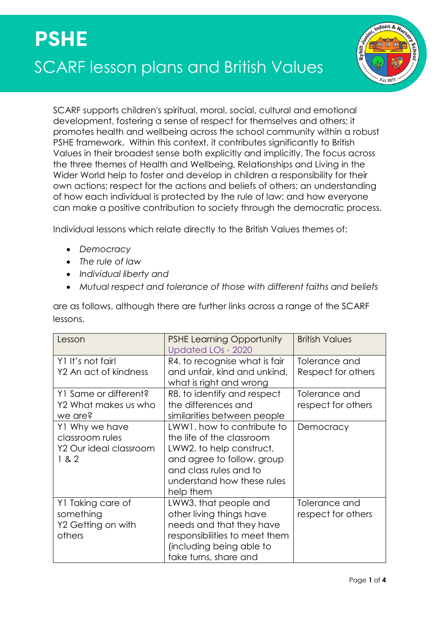

SCARF supports children's spiritual, moral, social, cultural and emotional development, fostering a sense of respect for themselves and others; it promotes health and wellbeing across the school community within a robust PSHE framework. Within this context, it contributes significantly to British Values in their broadest sense both explicitly and implicitly. The focus across the three themes of Health and Wellbeing, Relationships and Living in the Wider World help to foster and develop in children a responsibility for their own actions; respect for the actions and beliefs of others; an understanding of how each individual is protected by the rule of law; and how everyone can make a positive contribution to society through the democratic process.

Individual lessons which relate directly to the British Values themes of:

- *Democracy*
- *The rule of law*
- *Individual liberty and*
- *Mutual respect and tolerance of those with different faiths and beliefs*

are as follows, although there are further links across a range of the SCARF lessons.

| Lesson                                                               | <b>PSHE Learning Opportunity</b><br><b>Updated LOs - 2020</b>                                                                                                                          | <b>British Values</b>               |
|----------------------------------------------------------------------|----------------------------------------------------------------------------------------------------------------------------------------------------------------------------------------|-------------------------------------|
| Y1 It's not fair!<br>Y2 An act of kindness                           | R4. to recognise what is fair<br>and unfair, kind and unkind,<br>what is right and wrong                                                                                               | Tolerance and<br>Respect for others |
| Y1 Same or different?<br>Y2 What makes us who<br>we are?             | R8. to identify and respect<br>the differences and<br>similarities between people                                                                                                      | Tolerance and<br>respect for others |
| Y1 Why we have<br>classroom rules<br>Y2 Our ideal classroom<br>1 & 2 | LWW1, how to contribute to<br>the life of the classroom<br>LWW2. to help construct,<br>and agree to follow, group<br>and class rules and to<br>understand how these rules<br>help them | Democracy                           |
| Y1 Taking care of<br>something<br>Y2 Getting on with<br>others       | LWW3. that people and<br>other living things have<br>needs and that they have<br>responsibilities to meet them<br>(including being able to<br>take turns, share and                    | Tolerance and<br>respect for others |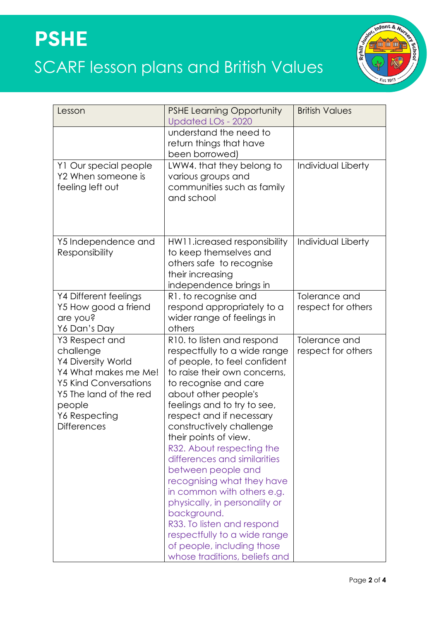

| Lesson                                                                                                                                                                                      | <b>PSHE Learning Opportunity</b><br><b>Updated LOs - 2020</b>                                                                                                                                                                                                                                                                                                                                                                                                                                                                                                                                                           | <b>British Values</b>               |
|---------------------------------------------------------------------------------------------------------------------------------------------------------------------------------------------|-------------------------------------------------------------------------------------------------------------------------------------------------------------------------------------------------------------------------------------------------------------------------------------------------------------------------------------------------------------------------------------------------------------------------------------------------------------------------------------------------------------------------------------------------------------------------------------------------------------------------|-------------------------------------|
|                                                                                                                                                                                             | understand the need to<br>return things that have<br>been borrowed)                                                                                                                                                                                                                                                                                                                                                                                                                                                                                                                                                     |                                     |
| Y1 Our special people<br>Y2 When someone is<br>feeling left out                                                                                                                             | LWW4. that they belong to<br>various groups and<br>communities such as family<br>and school                                                                                                                                                                                                                                                                                                                                                                                                                                                                                                                             | Individual Liberty                  |
| Y5 Independence and<br>Responsibility                                                                                                                                                       | HW11.icreased responsibility<br>to keep themselves and<br>others safe to recognise<br>their increasing<br>independence brings in                                                                                                                                                                                                                                                                                                                                                                                                                                                                                        | Individual Liberty                  |
| Y4 Different feelings<br>Y5 How good a friend<br>are you?<br>Y6 Dan's Day                                                                                                                   | R1. to recognise and<br>respond appropriately to a<br>wider range of feelings in<br>others                                                                                                                                                                                                                                                                                                                                                                                                                                                                                                                              | Tolerance and<br>respect for others |
| Y3 Respect and<br>challenge<br><b>Y4 Diversity World</b><br>Y4 What makes me Me!<br><b>Y5 Kind Conversations</b><br>Y5 The land of the red<br>people<br>Y6 Respecting<br><b>Differences</b> | R10. to listen and respond<br>respectfully to a wide range<br>of people, to feel confident<br>to raise their own concerns,<br>to recognise and care<br>about other people's<br>feelings and to try to see,<br>respect and if necessary<br>constructively challenge<br>their points of view.<br>R32. About respecting the<br>differences and similarities<br>between people and<br>recognising what they have<br>in common with others e.g.<br>physically, in personality or<br>background.<br>R33. To listen and respond<br>respectfully to a wide range<br>of people, including those<br>whose traditions, beliefs and | Tolerance and<br>respect for others |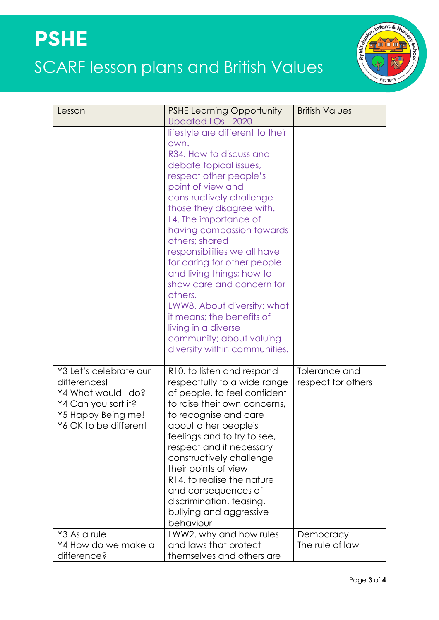

| Lesson                                                                                                                              | <b>PSHE Learning Opportunity</b>                                                                                                                                                                                                                                                                                                                                                                                                                                                                                                                                  | <b>British Values</b>               |
|-------------------------------------------------------------------------------------------------------------------------------------|-------------------------------------------------------------------------------------------------------------------------------------------------------------------------------------------------------------------------------------------------------------------------------------------------------------------------------------------------------------------------------------------------------------------------------------------------------------------------------------------------------------------------------------------------------------------|-------------------------------------|
|                                                                                                                                     | Updated LOs - 2020                                                                                                                                                                                                                                                                                                                                                                                                                                                                                                                                                |                                     |
|                                                                                                                                     | lifestyle are different to their<br>own.<br>R34. How to discuss and<br>debate topical issues,<br>respect other people's<br>point of view and<br>constructively challenge<br>those they disagree with.<br>L4. The importance of<br>having compassion towards<br>others; shared<br>responsibilities we all have<br>for caring for other people<br>and living things; how to<br>show care and concern for<br>others.<br>LWW8. About diversity: what<br>it means; the benefits of<br>living in a diverse<br>community; about valuing<br>diversity within communities. |                                     |
| Y3 Let's celebrate our<br>differences!<br>Y4 What would I do?<br>Y4 Can you sort it?<br>Y5 Happy Being me!<br>Y6 OK to be different | R10. to listen and respond<br>respectfully to a wide range<br>of people, to feel confident<br>to raise their own concerns,<br>to recognise and care<br>about other people's<br>feelings and to try to see,<br>respect and if necessary<br>constructively challenge<br>their points of view<br>R <sub>14</sub> , to realise the nature<br>and consequences of<br>discrimination, teasing,<br>bullying and aggressive<br>behaviour                                                                                                                                  | Tolerance and<br>respect for others |
| Y3 As a rule<br>Y4 How do we make a<br>difference?                                                                                  | LWW2. why and how rules<br>and laws that protect<br>themselves and others are                                                                                                                                                                                                                                                                                                                                                                                                                                                                                     | Democracy<br>The rule of law        |